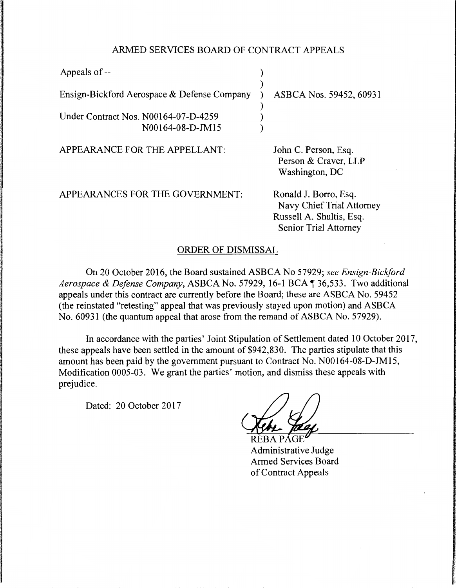## ARMED SERVICES BOARD OF CONTRACT APPEALS

| Appeals of --                                            |                                                                                                         |
|----------------------------------------------------------|---------------------------------------------------------------------------------------------------------|
| Ensign-Bickford Aerospace & Defense Company              | ASBCA Nos. 59452, 60931                                                                                 |
| Under Contract Nos. N00164-07-D-4259<br>N00164-08-D-JM15 |                                                                                                         |
| APPEARANCE FOR THE APPELLANT:                            | John C. Person, Esq.<br>Person & Craver, LLP<br>Washington, DC                                          |
| APPEARANCES FOR THE GOVERNMENT:                          | Ronald J. Borro, Esq.<br>Navy Chief Trial Attorney<br>Russell A. Shultis, Esq.<br>Senior Trial Attorney |

## ORDER OF DISMISSAL

On 20 October 2016, the Board sustained ASBCA No 57929; *see Ensign-Biciford Aerospace* & *Defense Company,* ASBCA No. 57929, 16-1BCA~36,533. Two additional appeals under this contract are currently before the Board; these are ASBCA No. 59452 (the reinstated "retesting" appeal that was previously stayed upon motion) and ASBCA No. 60931 (the quantum appeal that arose from the remand of ASBCA No. 57929).

In accordance with the parties' Joint Stipulation of Settlement dated IO October 2017, these appeals have been settled in the amount of \$942,830. The parties stipulate that this amount has been paid by the government pursuant to Contract No. N00164-08-D-JM15, Modification 0005-03. We grant the parties' motion, and dismiss these appeals with prejudice.

Dated: 20 October 2017

Administrative Judge Armed Services Board of Contract Appeals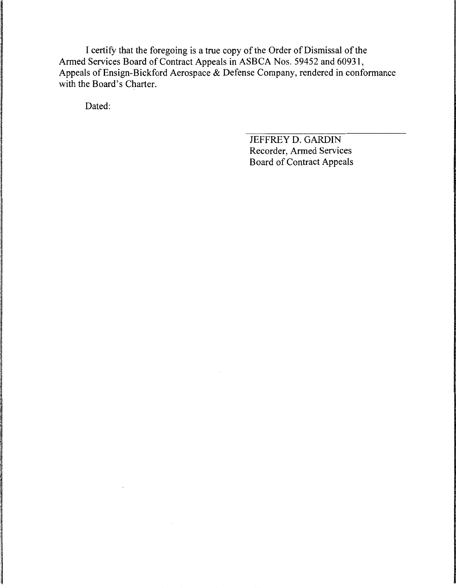I certify that the foregoing is a true copy of the Order of Dismissal of the Armed Services Board of Contract Appeals in ASBCA Nos. 59452 and 60931, Appeals of Ensign-Bickford Aerospace & Defense Company, rendered in conformance with the Board's Charter.

Dated:

JEFFREY D. GARDIN Recorder, Armed Services Board of Contract Appeals